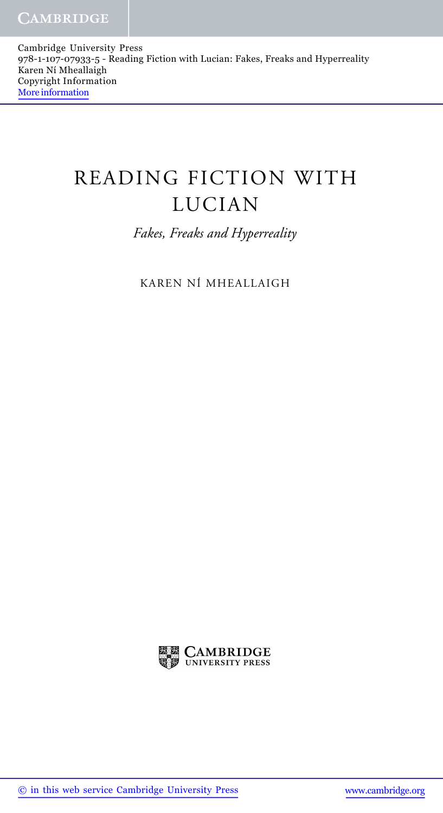Cambridge University Press 978-1-107-07933-5 - Reading Fiction with Lucian: Fakes, Freaks and Hyperreality Karen Ní Mheallaigh Copyright Information More information

## READING FICTION WITH LUCIAN

*Fakes, Freaks and Hyperreality*

KAREN NÍ MHEALLAIGH